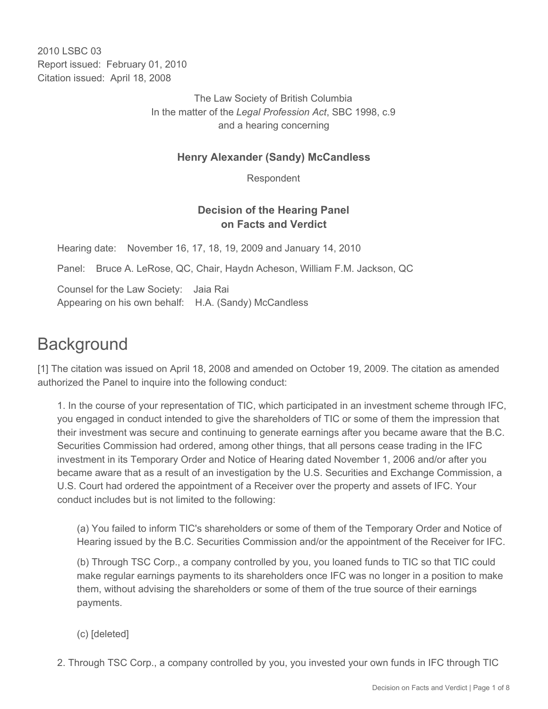2010 LSBC 03 Report issued: February 01, 2010 Citation issued: April 18, 2008

> The Law Society of British Columbia In the matter of the *Legal Profession Act*, SBC 1998, c.9 and a hearing concerning

### **Henry Alexander (Sandy) McCandless**

Respondent

### **Decision of the Hearing Panel on Facts and Verdict**

Hearing date: November 16, 17, 18, 19, 2009 and January 14, 2010

Panel: Bruce A. LeRose, QC, Chair, Haydn Acheson, William F.M. Jackson, QC

Counsel for the Law Society: Jaia Rai Appearing on his own behalf: H.A. (Sandy) McCandless

# **Background**

[1] The citation was issued on April 18, 2008 and amended on October 19, 2009. The citation as amended authorized the Panel to inquire into the following conduct:

1. In the course of your representation of TIC, which participated in an investment scheme through IFC, you engaged in conduct intended to give the shareholders of TIC or some of them the impression that their investment was secure and continuing to generate earnings after you became aware that the B.C. Securities Commission had ordered, among other things, that all persons cease trading in the IFC investment in its Temporary Order and Notice of Hearing dated November 1, 2006 and/or after you became aware that as a result of an investigation by the U.S. Securities and Exchange Commission, a U.S. Court had ordered the appointment of a Receiver over the property and assets of IFC. Your conduct includes but is not limited to the following:

(a) You failed to inform TIC's shareholders or some of them of the Temporary Order and Notice of Hearing issued by the B.C. Securities Commission and/or the appointment of the Receiver for IFC.

(b) Through TSC Corp., a company controlled by you, you loaned funds to TIC so that TIC could make regular earnings payments to its shareholders once IFC was no longer in a position to make them, without advising the shareholders or some of them of the true source of their earnings payments.

- (c) [deleted]
- 2. Through TSC Corp., a company controlled by you, you invested your own funds in IFC through TIC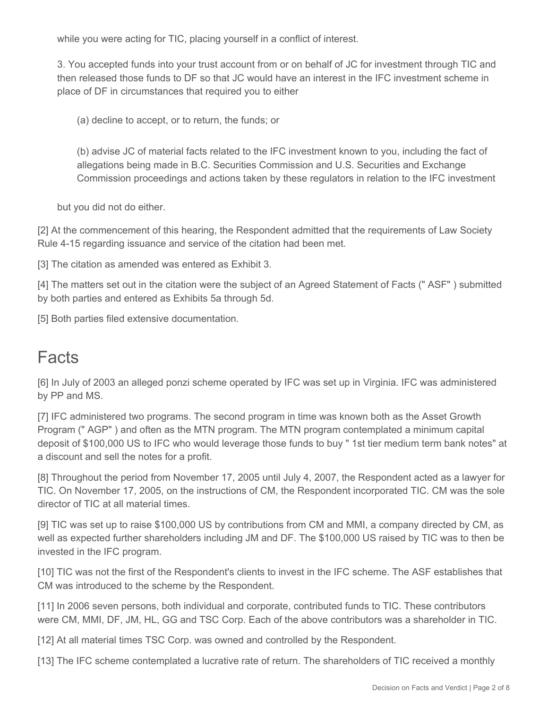while you were acting for TIC, placing yourself in a conflict of interest.

3. You accepted funds into your trust account from or on behalf of JC for investment through TIC and then released those funds to DF so that JC would have an interest in the IFC investment scheme in place of DF in circumstances that required you to either

(a) decline to accept, or to return, the funds; or

(b) advise JC of material facts related to the IFC investment known to you, including the fact of allegations being made in B.C. Securities Commission and U.S. Securities and Exchange Commission proceedings and actions taken by these regulators in relation to the IFC investment

but you did not do either.

[2] At the commencement of this hearing, the Respondent admitted that the requirements of Law Society Rule 4-15 regarding issuance and service of the citation had been met.

[3] The citation as amended was entered as Exhibit 3.

[4] The matters set out in the citation were the subject of an Agreed Statement of Facts (" ASF" ) submitted by both parties and entered as Exhibits 5a through 5d.

[5] Both parties filed extensive documentation.

## **Facts**

[6] In July of 2003 an alleged ponzi scheme operated by IFC was set up in Virginia. IFC was administered by PP and MS.

[7] IFC administered two programs. The second program in time was known both as the Asset Growth Program (" AGP" ) and often as the MTN program. The MTN program contemplated a minimum capital deposit of \$100,000 US to IFC who would leverage those funds to buy " 1st tier medium term bank notes" at a discount and sell the notes for a profit.

[8] Throughout the period from November 17, 2005 until July 4, 2007, the Respondent acted as a lawyer for TIC. On November 17, 2005, on the instructions of CM, the Respondent incorporated TIC. CM was the sole director of TIC at all material times.

[9] TIC was set up to raise \$100,000 US by contributions from CM and MMI, a company directed by CM, as well as expected further shareholders including JM and DF. The \$100,000 US raised by TIC was to then be invested in the IFC program.

[10] TIC was not the first of the Respondent's clients to invest in the IFC scheme. The ASF establishes that CM was introduced to the scheme by the Respondent.

[11] In 2006 seven persons, both individual and corporate, contributed funds to TIC. These contributors were CM, MMI, DF, JM, HL, GG and TSC Corp. Each of the above contributors was a shareholder in TIC.

[12] At all material times TSC Corp. was owned and controlled by the Respondent.

[13] The IFC scheme contemplated a lucrative rate of return. The shareholders of TIC received a monthly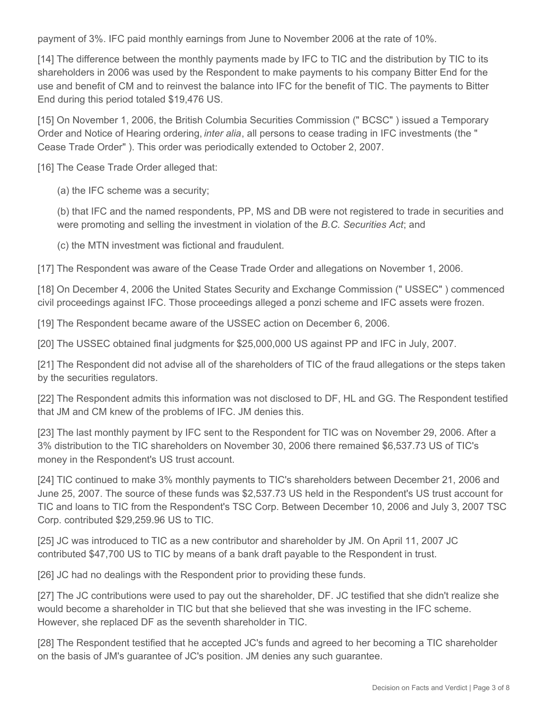payment of 3%. IFC paid monthly earnings from June to November 2006 at the rate of 10%.

[14] The difference between the monthly payments made by IFC to TIC and the distribution by TIC to its shareholders in 2006 was used by the Respondent to make payments to his company Bitter End for the use and benefit of CM and to reinvest the balance into IFC for the benefit of TIC. The payments to Bitter End during this period totaled \$19,476 US.

[15] On November 1, 2006, the British Columbia Securities Commission (" BCSC" ) issued a Temporary Order and Notice of Hearing ordering, *inter alia*, all persons to cease trading in IFC investments (the " Cease Trade Order" ). This order was periodically extended to October 2, 2007.

[16] The Cease Trade Order alleged that:

(a) the IFC scheme was a security;

(b) that IFC and the named respondents, PP, MS and DB were not registered to trade in securities and were promoting and selling the investment in violation of the *B.C. Securities Act*; and

(c) the MTN investment was fictional and fraudulent.

[17] The Respondent was aware of the Cease Trade Order and allegations on November 1, 2006.

[18] On December 4, 2006 the United States Security and Exchange Commission (" USSEC" ) commenced civil proceedings against IFC. Those proceedings alleged a ponzi scheme and IFC assets were frozen.

[19] The Respondent became aware of the USSEC action on December 6, 2006.

[20] The USSEC obtained final judgments for \$25,000,000 US against PP and IFC in July, 2007.

[21] The Respondent did not advise all of the shareholders of TIC of the fraud allegations or the steps taken by the securities regulators.

[22] The Respondent admits this information was not disclosed to DF, HL and GG. The Respondent testified that JM and CM knew of the problems of IFC. JM denies this.

[23] The last monthly payment by IFC sent to the Respondent for TIC was on November 29, 2006. After a 3% distribution to the TIC shareholders on November 30, 2006 there remained \$6,537.73 US of TIC's money in the Respondent's US trust account.

[24] TIC continued to make 3% monthly payments to TIC's shareholders between December 21, 2006 and June 25, 2007. The source of these funds was \$2,537.73 US held in the Respondent's US trust account for TIC and loans to TIC from the Respondent's TSC Corp. Between December 10, 2006 and July 3, 2007 TSC Corp. contributed \$29,259.96 US to TIC.

[25] JC was introduced to TIC as a new contributor and shareholder by JM. On April 11, 2007 JC contributed \$47,700 US to TIC by means of a bank draft payable to the Respondent in trust.

[26] JC had no dealings with the Respondent prior to providing these funds.

[27] The JC contributions were used to pay out the shareholder, DF. JC testified that she didn't realize she would become a shareholder in TIC but that she believed that she was investing in the IFC scheme. However, she replaced DF as the seventh shareholder in TIC.

[28] The Respondent testified that he accepted JC's funds and agreed to her becoming a TIC shareholder on the basis of JM's guarantee of JC's position. JM denies any such guarantee.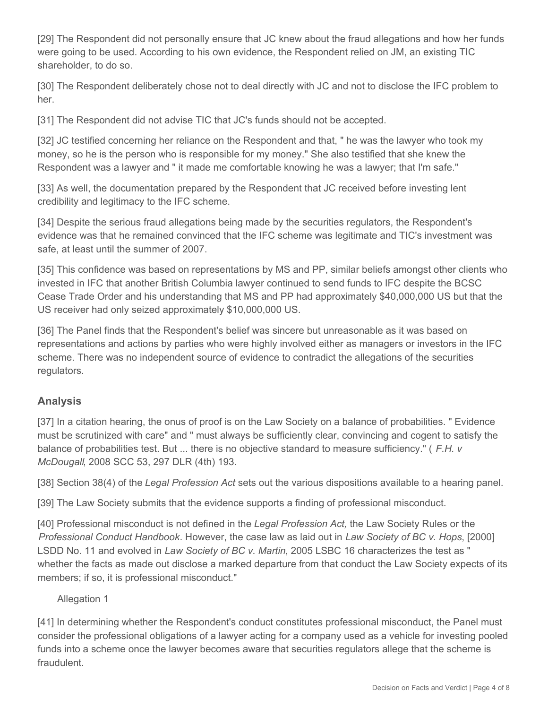[29] The Respondent did not personally ensure that JC knew about the fraud allegations and how her funds were going to be used. According to his own evidence, the Respondent relied on JM, an existing TIC shareholder, to do so.

[30] The Respondent deliberately chose not to deal directly with JC and not to disclose the IFC problem to her.

[31] The Respondent did not advise TIC that JC's funds should not be accepted.

[32] JC testified concerning her reliance on the Respondent and that, " he was the lawyer who took my money, so he is the person who is responsible for my money." She also testified that she knew the Respondent was a lawyer and " it made me comfortable knowing he was a lawyer; that I'm safe."

[33] As well, the documentation prepared by the Respondent that JC received before investing lent credibility and legitimacy to the IFC scheme.

[34] Despite the serious fraud allegations being made by the securities regulators, the Respondent's evidence was that he remained convinced that the IFC scheme was legitimate and TIC's investment was safe, at least until the summer of 2007.

[35] This confidence was based on representations by MS and PP, similar beliefs amongst other clients who invested in IFC that another British Columbia lawyer continued to send funds to IFC despite the BCSC Cease Trade Order and his understanding that MS and PP had approximately \$40,000,000 US but that the US receiver had only seized approximately \$10,000,000 US.

[36] The Panel finds that the Respondent's belief was sincere but unreasonable as it was based on representations and actions by parties who were highly involved either as managers or investors in the IFC scheme. There was no independent source of evidence to contradict the allegations of the securities regulators.

## **Analysis**

[37] In a citation hearing, the onus of proof is on the Law Society on a balance of probabilities. " Evidence must be scrutinized with care" and " must always be sufficiently clear, convincing and cogent to satisfy the balance of probabilities test. But ... there is no objective standard to measure sufficiency." ( *F.H. v McDougall*, 2008 SCC 53, 297 DLR (4th) 193.

[38] Section 38(4) of the *Legal Profession Act* sets out the various dispositions available to a hearing panel.

[39] The Law Society submits that the evidence supports a finding of professional misconduct.

[40] Professional misconduct is not defined in the *Legal Profession Act,* the Law Society Rules or the *Professional Conduct Handbook*. However, the case law as laid out in *Law Society of BC v. Hops*, [2000] LSDD No. 11 and evolved in *Law Society of BC v. Martin*, 2005 LSBC 16 characterizes the test as " whether the facts as made out disclose a marked departure from that conduct the Law Society expects of its members; if so, it is professional misconduct."

### Allegation 1

[41] In determining whether the Respondent's conduct constitutes professional misconduct, the Panel must consider the professional obligations of a lawyer acting for a company used as a vehicle for investing pooled funds into a scheme once the lawyer becomes aware that securities regulators allege that the scheme is fraudulent.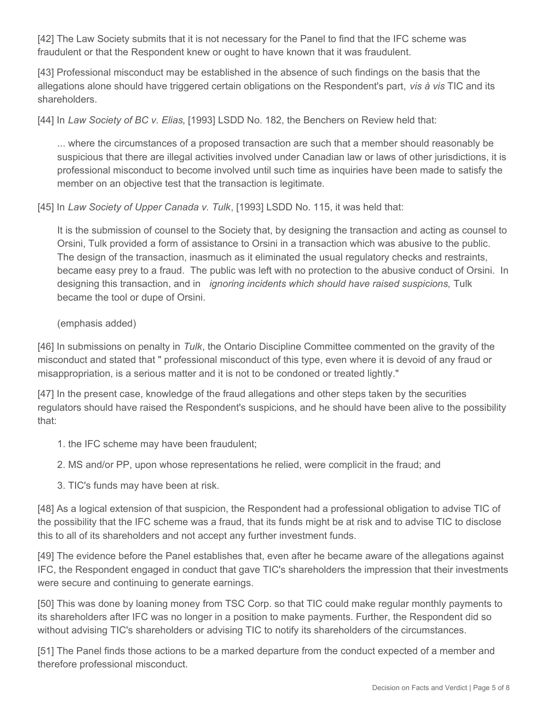[42] The Law Society submits that it is not necessary for the Panel to find that the IFC scheme was fraudulent or that the Respondent knew or ought to have known that it was fraudulent.

[43] Professional misconduct may be established in the absence of such findings on the basis that the allegations alone should have triggered certain obligations on the Respondent's part, *vis à vis* TIC and its shareholders.

[44] In *Law Society of BC v. Elias*, [1993] LSDD No. 182, the Benchers on Review held that:

... where the circumstances of a proposed transaction are such that a member should reasonably be suspicious that there are illegal activities involved under Canadian law or laws of other jurisdictions, it is professional misconduct to become involved until such time as inquiries have been made to satisfy the member on an objective test that the transaction is legitimate.

[45] In *Law Society of Upper Canada v. Tulk*, [1993] LSDD No. 115, it was held that:

It is the submission of counsel to the Society that, by designing the transaction and acting as counsel to Orsini, Tulk provided a form of assistance to Orsini in a transaction which was abusive to the public. The design of the transaction, inasmuch as it eliminated the usual regulatory checks and restraints, became easy prey to a fraud. The public was left with no protection to the abusive conduct of Orsini. In designing this transaction, and in *ignoring incidents which should have raised suspicions,* Tulk became the tool or dupe of Orsini.

#### (emphasis added)

[46] In submissions on penalty in *Tulk*, the Ontario Discipline Committee commented on the gravity of the misconduct and stated that " professional misconduct of this type, even where it is devoid of any fraud or misappropriation, is a serious matter and it is not to be condoned or treated lightly."

[47] In the present case, knowledge of the fraud allegations and other steps taken by the securities regulators should have raised the Respondent's suspicions, and he should have been alive to the possibility that:

- 1. the IFC scheme may have been fraudulent;
- 2. MS and/or PP, upon whose representations he relied, were complicit in the fraud; and
- 3. TIC's funds may have been at risk.

[48] As a logical extension of that suspicion, the Respondent had a professional obligation to advise TIC of the possibility that the IFC scheme was a fraud, that its funds might be at risk and to advise TIC to disclose this to all of its shareholders and not accept any further investment funds.

[49] The evidence before the Panel establishes that, even after he became aware of the allegations against IFC, the Respondent engaged in conduct that gave TIC's shareholders the impression that their investments were secure and continuing to generate earnings.

[50] This was done by loaning money from TSC Corp. so that TIC could make regular monthly payments to its shareholders after IFC was no longer in a position to make payments. Further, the Respondent did so without advising TIC's shareholders or advising TIC to notify its shareholders of the circumstances.

[51] The Panel finds those actions to be a marked departure from the conduct expected of a member and therefore professional misconduct.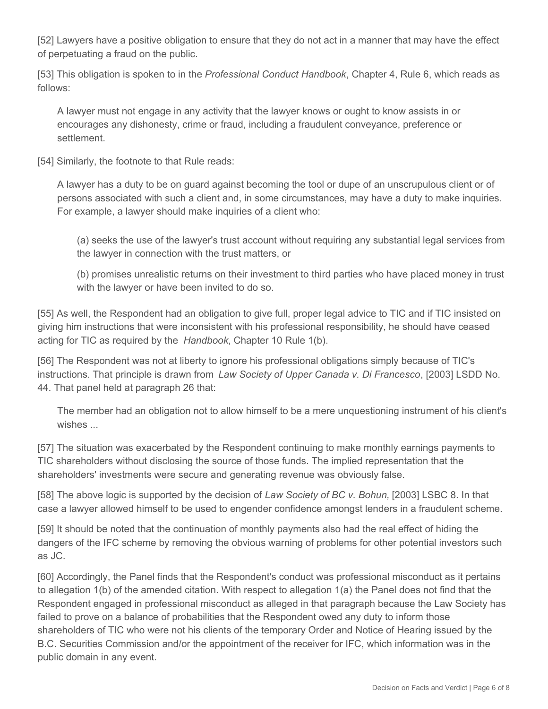[52] Lawyers have a positive obligation to ensure that they do not act in a manner that may have the effect of perpetuating a fraud on the public.

[53] This obligation is spoken to in the *Professional Conduct Handbook*, Chapter 4, Rule 6, which reads as follows:

A lawyer must not engage in any activity that the lawyer knows or ought to know assists in or encourages any dishonesty, crime or fraud, including a fraudulent conveyance, preference or settlement.

[54] Similarly, the footnote to that Rule reads:

A lawyer has a duty to be on guard against becoming the tool or dupe of an unscrupulous client or of persons associated with such a client and, in some circumstances, may have a duty to make inquiries. For example, a lawyer should make inquiries of a client who:

(a) seeks the use of the lawyer's trust account without requiring any substantial legal services from the lawyer in connection with the trust matters, or

(b) promises unrealistic returns on their investment to third parties who have placed money in trust with the lawyer or have been invited to do so.

[55] As well, the Respondent had an obligation to give full, proper legal advice to TIC and if TIC insisted on giving him instructions that were inconsistent with his professional responsibility, he should have ceased acting for TIC as required by the *Handbook*, Chapter 10 Rule 1(b).

[56] The Respondent was not at liberty to ignore his professional obligations simply because of TIC's instructions. That principle is drawn from *Law Society of Upper Canada v. Di Francesco*, [2003] LSDD No. 44. That panel held at paragraph 26 that:

The member had an obligation not to allow himself to be a mere unquestioning instrument of his client's wishes ...

[57] The situation was exacerbated by the Respondent continuing to make monthly earnings payments to TIC shareholders without disclosing the source of those funds. The implied representation that the shareholders' investments were secure and generating revenue was obviously false.

[58] The above logic is supported by the decision of *Law Society of BC v. Bohun,* [2003] LSBC 8. In that case a lawyer allowed himself to be used to engender confidence amongst lenders in a fraudulent scheme.

[59] It should be noted that the continuation of monthly payments also had the real effect of hiding the dangers of the IFC scheme by removing the obvious warning of problems for other potential investors such as JC.

[60] Accordingly, the Panel finds that the Respondent's conduct was professional misconduct as it pertains to allegation 1(b) of the amended citation. With respect to allegation 1(a) the Panel does not find that the Respondent engaged in professional misconduct as alleged in that paragraph because the Law Society has failed to prove on a balance of probabilities that the Respondent owed any duty to inform those shareholders of TIC who were not his clients of the temporary Order and Notice of Hearing issued by the B.C. Securities Commission and/or the appointment of the receiver for IFC, which information was in the public domain in any event.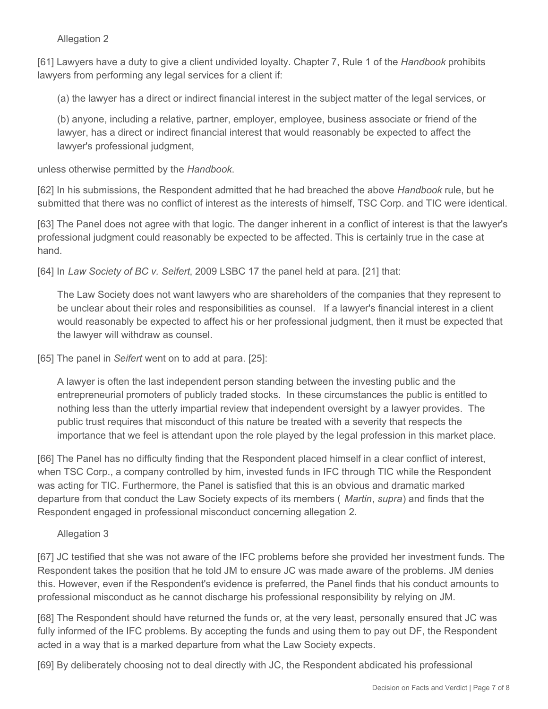#### Allegation 2

[61] Lawyers have a duty to give a client undivided loyalty. Chapter 7, Rule 1 of the *Handbook* prohibits lawyers from performing any legal services for a client if:

(a) the lawyer has a direct or indirect financial interest in the subject matter of the legal services, or

(b) anyone, including a relative, partner, employer, employee, business associate or friend of the lawyer, has a direct or indirect financial interest that would reasonably be expected to affect the lawyer's professional judgment,

unless otherwise permitted by the *Handbook*.

[62] In his submissions, the Respondent admitted that he had breached the above *Handbook* rule, but he submitted that there was no conflict of interest as the interests of himself, TSC Corp. and TIC were identical.

[63] The Panel does not agree with that logic. The danger inherent in a conflict of interest is that the lawyer's professional judgment could reasonably be expected to be affected. This is certainly true in the case at hand.

[64] In *Law Society of BC v. Seifert*, 2009 LSBC 17 the panel held at para. [21] that:

The Law Society does not want lawyers who are shareholders of the companies that they represent to be unclear about their roles and responsibilities as counsel. If a lawyer's financial interest in a client would reasonably be expected to affect his or her professional judgment, then it must be expected that the lawyer will withdraw as counsel.

[65] The panel in *Seifert* went on to add at para. [25]:

A lawyer is often the last independent person standing between the investing public and the entrepreneurial promoters of publicly traded stocks. In these circumstances the public is entitled to nothing less than the utterly impartial review that independent oversight by a lawyer provides. The public trust requires that misconduct of this nature be treated with a severity that respects the importance that we feel is attendant upon the role played by the legal profession in this market place.

[66] The Panel has no difficulty finding that the Respondent placed himself in a clear conflict of interest, when TSC Corp., a company controlled by him, invested funds in IFC through TIC while the Respondent was acting for TIC. Furthermore, the Panel is satisfied that this is an obvious and dramatic marked departure from that conduct the Law Society expects of its members ( *Martin*, *supra*) and finds that the Respondent engaged in professional misconduct concerning allegation 2.

#### Allegation 3

[67] JC testified that she was not aware of the IFC problems before she provided her investment funds. The Respondent takes the position that he told JM to ensure JC was made aware of the problems. JM denies this. However, even if the Respondent's evidence is preferred, the Panel finds that his conduct amounts to professional misconduct as he cannot discharge his professional responsibility by relying on JM.

[68] The Respondent should have returned the funds or, at the very least, personally ensured that JC was fully informed of the IFC problems. By accepting the funds and using them to pay out DF, the Respondent acted in a way that is a marked departure from what the Law Society expects.

[69] By deliberately choosing not to deal directly with JC, the Respondent abdicated his professional